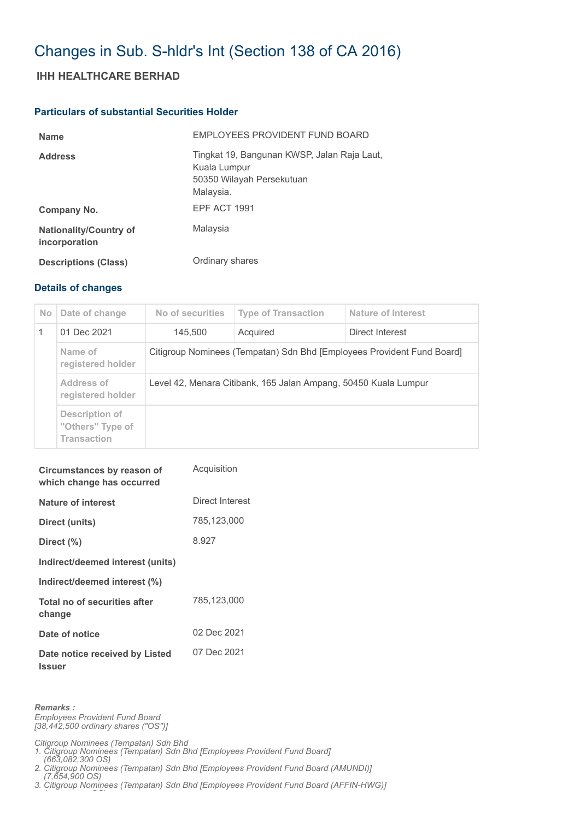## Changes in Sub. S-hldr's Int (Section 138 of CA 2016)

## **IHH HEALTHCARE BERHAD**

## **Particulars of substantial Securities Holder**

| <b>Name</b>                                    | EMPLOYEES PROVIDENT FUND BOARD                                                                        |
|------------------------------------------------|-------------------------------------------------------------------------------------------------------|
| <b>Address</b>                                 | Tingkat 19, Bangunan KWSP, Jalan Raja Laut,<br>Kuala Lumpur<br>50350 Wilayah Persekutuan<br>Malaysia. |
| Company No.                                    | <b>EPF ACT 1991</b>                                                                                   |
| <b>Nationality/Country of</b><br>incorporation | Malaysia                                                                                              |
| <b>Descriptions (Class)</b>                    | Ordinary shares                                                                                       |

## **Details of changes**

| N <sub>o</sub> | Date of change                                           | No of securities                                                       | <b>Type of Transaction</b> | Nature of Interest |  |
|----------------|----------------------------------------------------------|------------------------------------------------------------------------|----------------------------|--------------------|--|
|                | 01 Dec 2021                                              | 145,500                                                                | Acquired                   | Direct Interest    |  |
|                | Name of<br>registered holder                             | Citigroup Nominees (Tempatan) Sdn Bhd [Employees Provident Fund Board] |                            |                    |  |
|                | Address of<br>registered holder                          | Level 42, Menara Citibank, 165 Jalan Ampang, 50450 Kuala Lumpur        |                            |                    |  |
|                | Description of<br>"Others" Type of<br><b>Transaction</b> |                                                                        |                            |                    |  |

| Circumstances by reason of<br>which change has occurred | Acquisition     |
|---------------------------------------------------------|-----------------|
| Nature of interest                                      | Direct Interest |
| Direct (units)                                          | 785,123,000     |
| Direct (%)                                              | 8.927           |
| Indirect/deemed interest (units)                        |                 |
| Indirect/deemed interest (%)                            |                 |
| Total no of securities after<br>change                  | 785,123,000     |
| Date of notice                                          | 02 Dec 2021     |
| Date notice received by Listed<br><b>Issuer</b>         | 07 Dec 2021     |

*Remarks :*

*( OS)*

*Employees Provident Fund Board [38,442,500 ordinary shares ("OS")]*

*Citigroup Nominees (Tempatan) Sdn Bhd* 

*1. Citigroup Nominees (Tempatan) Sdn Bhd [Employees Provident Fund Board] (663,082,300 OS)*

*2. Citigroup Nominees (Tempatan) Sdn Bhd [Employees Provident Fund Board (AMUNDI)]* 

 *(7,654,900 OS) 3. Citigroup Nominees (Tempatan) Sdn Bhd [Employees Provident Fund Board (AFFIN-HWG)]*